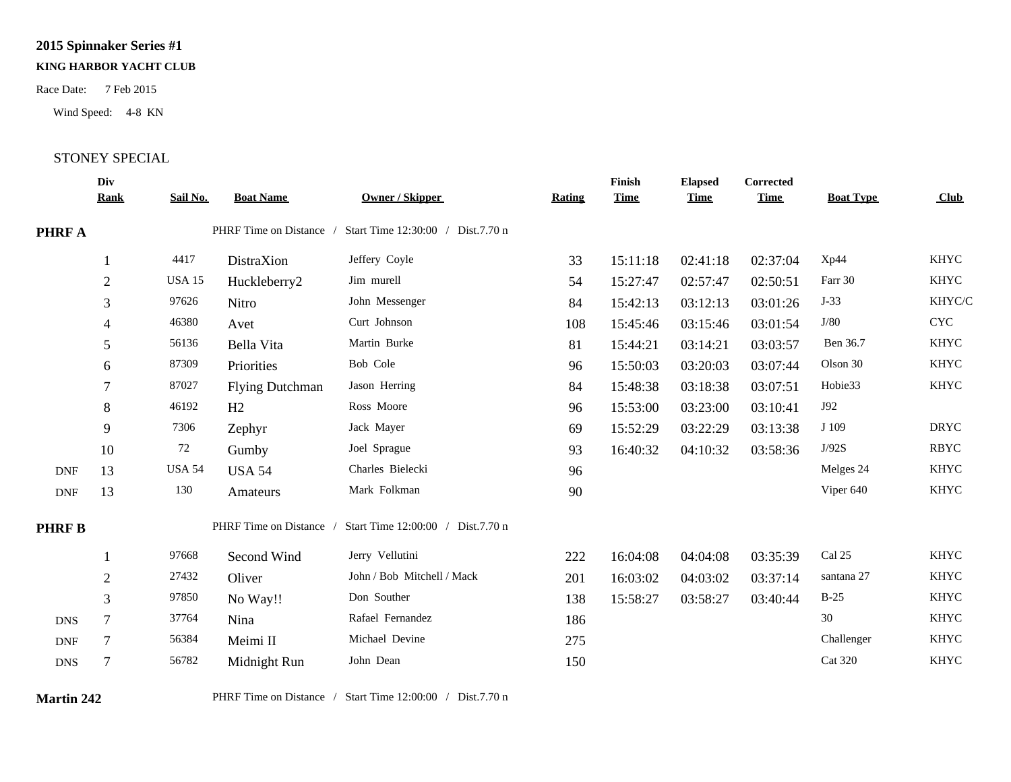## **2015 Spinnaker Series #1**

## **KING HARBOR YACHT CLUB**

Wind Speed: 4-8 KN

## Race Date: 7 Feb 2015<br>Wind Speed: 4-8 KN<br>STONEY SPECIAL

|               | Div<br><b>Rank</b> | Sail No.      | <b>Boat Name</b>       | <b>Owner / Skipper</b>                                    | <b>Rating</b> | Finish<br><b>Time</b> | <b>Elapsed</b><br><b>Time</b> | Corrected<br><b>Time</b> | <b>Boat Type</b> | Club        |
|---------------|--------------------|---------------|------------------------|-----------------------------------------------------------|---------------|-----------------------|-------------------------------|--------------------------|------------------|-------------|
| <b>PHRF A</b> |                    |               |                        | PHRF Time on Distance / Start Time 12:30:00 / Dist.7.70 n |               |                       |                               |                          |                  |             |
|               |                    | 4417          | DistraXion             | Jeffery Coyle                                             | 33            | 15:11:18              | 02:41:18                      | 02:37:04                 | Xp44             | <b>KHYC</b> |
|               | $\overline{2}$     | <b>USA 15</b> | Huckleberry2           | Jim murell                                                | 54            | 15:27:47              | 02:57:47                      | 02:50:51                 | Farr 30          | <b>KHYC</b> |
|               | 3                  | 97626         | Nitro                  | John Messenger                                            | 84            | 15:42:13              | 03:12:13                      | 03:01:26                 | $J-33$           | KHYC/C      |
|               | $\overline{4}$     | 46380         | Avet                   | Curt Johnson                                              | 108           | 15:45:46              | 03:15:46                      | 03:01:54                 | J/80             | <b>CYC</b>  |
|               | 5                  | 56136         | Bella Vita             | Martin Burke                                              | 81            | 15:44:21              | 03:14:21                      | 03:03:57                 | Ben 36.7         | <b>KHYC</b> |
|               | 6                  | 87309         | Priorities             | Bob Cole                                                  | 96            | 15:50:03              | 03:20:03                      | 03:07:44                 | Olson 30         | <b>KHYC</b> |
|               | $\overline{7}$     | 87027         | <b>Flying Dutchman</b> | Jason Herring                                             | 84            | 15:48:38              | 03:18:38                      | 03:07:51                 | Hobie33          | <b>KHYC</b> |
|               | 8                  | 46192         | H2                     | Ross Moore                                                | 96            | 15:53:00              | 03:23:00                      | 03:10:41                 | J92              |             |
|               | 9                  | 7306          | Zephyr                 | Jack Mayer                                                | 69            | 15:52:29              | 03:22:29                      | 03:13:38                 | J 109            | <b>DRYC</b> |
|               | 10                 | 72            | Gumby                  | Joel Sprague                                              | 93            | 16:40:32              | 04:10:32                      | 03:58:36                 | J/92S            | <b>RBYC</b> |
| <b>DNF</b>    | 13                 | <b>USA 54</b> | <b>USA 54</b>          | Charles Bielecki                                          | 96            |                       |                               |                          | Melges 24        | <b>KHYC</b> |
| <b>DNF</b>    | 13                 | 130           | Amateurs               | Mark Folkman                                              | 90            |                       |                               |                          | Viper 640        | <b>KHYC</b> |
| <b>PHRF B</b> |                    |               |                        | PHRF Time on Distance / Start Time 12:00:00 / Dist.7.70 n |               |                       |                               |                          |                  |             |
|               |                    | 97668         | Second Wind            | Jerry Vellutini                                           | 222           | 16:04:08              | 04:04:08                      | 03:35:39                 | Cal 25           | <b>KHYC</b> |
|               | 2                  | 27432         | Oliver                 | John / Bob Mitchell / Mack                                | 201           | 16:03:02              | 04:03:02                      | 03:37:14                 | santana 27       | <b>KHYC</b> |
|               | 3                  | 97850         | No Way!!               | Don Souther                                               | 138           | 15:58:27              | 03:58:27                      | 03:40:44                 | $B-25$           | <b>KHYC</b> |
| <b>DNS</b>    | 7                  | 37764         | Nina                   | Rafael Fernandez                                          | 186           |                       |                               |                          | 30               | <b>KHYC</b> |
| DNF           | $\tau$             | 56384         | Meimi II               | Michael Devine                                            | 275           |                       |                               |                          | Challenger       | <b>KHYC</b> |
| <b>DNS</b>    | 7                  | 56782         | Midnight Run           | John Dean                                                 | 150           |                       |                               |                          | <b>Cat 320</b>   | <b>KHYC</b> |
|               |                    |               |                        |                                                           |               |                       |                               |                          |                  |             |

**Martin 242** PHRF Time on Distance / Start Time 12:00:00 / Dist.7.70 n